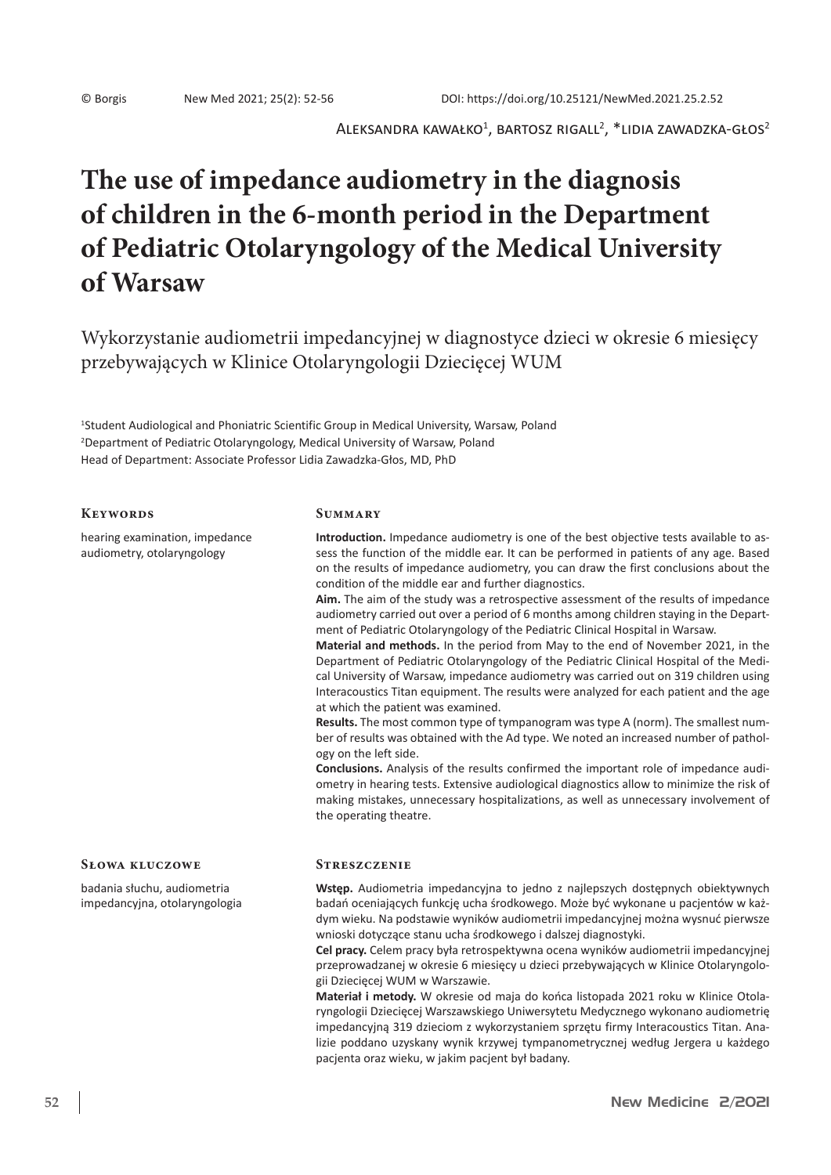$\mathsf{ALEKSANDRA\;KAWA\&KO}^1$ , BARTOSZ RIGALL $^2$ ,  $^*$ LIDIA ZAWADZKA-GŁOS $^2$ 

# **The use of impedance audiometry in the diagnosis of children in the 6-month period in the Department of Pediatric Otolaryngology of the Medical University of Warsaw**

Wykorzystanie audiometrii impedancyjnej w diagnostyce dzieci w okresie 6 miesięcy przebywających w Klinice Otolaryngologii Dziecięcej WUM

1 Student Audiological and Phoniatric Scientific Group in Medical University, Warsaw, Poland 2 Department of Pediatric Otolaryngology, Medical University of Warsaw, Poland Head of Department: Associate Professor Lidia Zawadzka-Głos, MD, PhD

#### **Keywords**

hearing examination, impedance audiometry, otolaryngology

### **Summary**

**Introduction.** Impedance audiometry is one of the best objective tests available to assess the function of the middle ear. It can be performed in patients of any age. Based on the results of impedance audiometry, you can draw the first conclusions about the condition of the middle ear and further diagnostics.

**Aim.** The aim of the study was a retrospective assessment of the results of impedance audiometry carried out over a period of 6 months among children staying in the Department of Pediatric Otolaryngology of the Pediatric Clinical Hospital in Warsaw.

**Material and methods.** In the period from May to the end of November 2021, in the Department of Pediatric Otolaryngology of the Pediatric Clinical Hospital of the Medical University of Warsaw, impedance audiometry was carried out on 319 children using Interacoustics Titan equipment. The results were analyzed for each patient and the age at which the patient was examined.

**Results.** The most common type of tympanogram was type A (norm). The smallest number of results was obtained with the Ad type. We noted an increased number of pathology on the left side.

**Conclusions.** Analysis of the results confirmed the important role of impedance audiometry in hearing tests. Extensive audiological diagnostics allow to minimize the risk of making mistakes, unnecessary hospitalizations, as well as unnecessary involvement of the operating theatre.

### **Słowa kluczowe**

badania słuchu, audiometria impedancyjna, otolaryngologia

#### **Streszczenie**

**Wstęp.** Audiometria impedancyjna to jedno z najlepszych dostępnych obiektywnych badań oceniających funkcję ucha środkowego. Może być wykonane u pacjentów w każdym wieku. Na podstawie wyników audiometrii impedancyjnej można wysnuć pierwsze wnioski dotyczące stanu ucha środkowego i dalszej diagnostyki.

**Cel pracy.** Celem pracy była retrospektywna ocena wyników audiometrii impedancyjnej przeprowadzanej w okresie 6 miesięcy u dzieci przebywających w Klinice Otolaryngologii Dziecięcej WUM w Warszawie.

**Materiał i metody.** W okresie od maja do końca listopada 2021 roku w Klinice Otolaryngologii Dziecięcej Warszawskiego Uniwersytetu Medycznego wykonano audiometrię impedancyjną 319 dzieciom z wykorzystaniem sprzętu firmy Interacoustics Titan. Analizie poddano uzyskany wynik krzywej tympanometrycznej według Jergera u każdego pacjenta oraz wieku, w jakim pacjent był badany.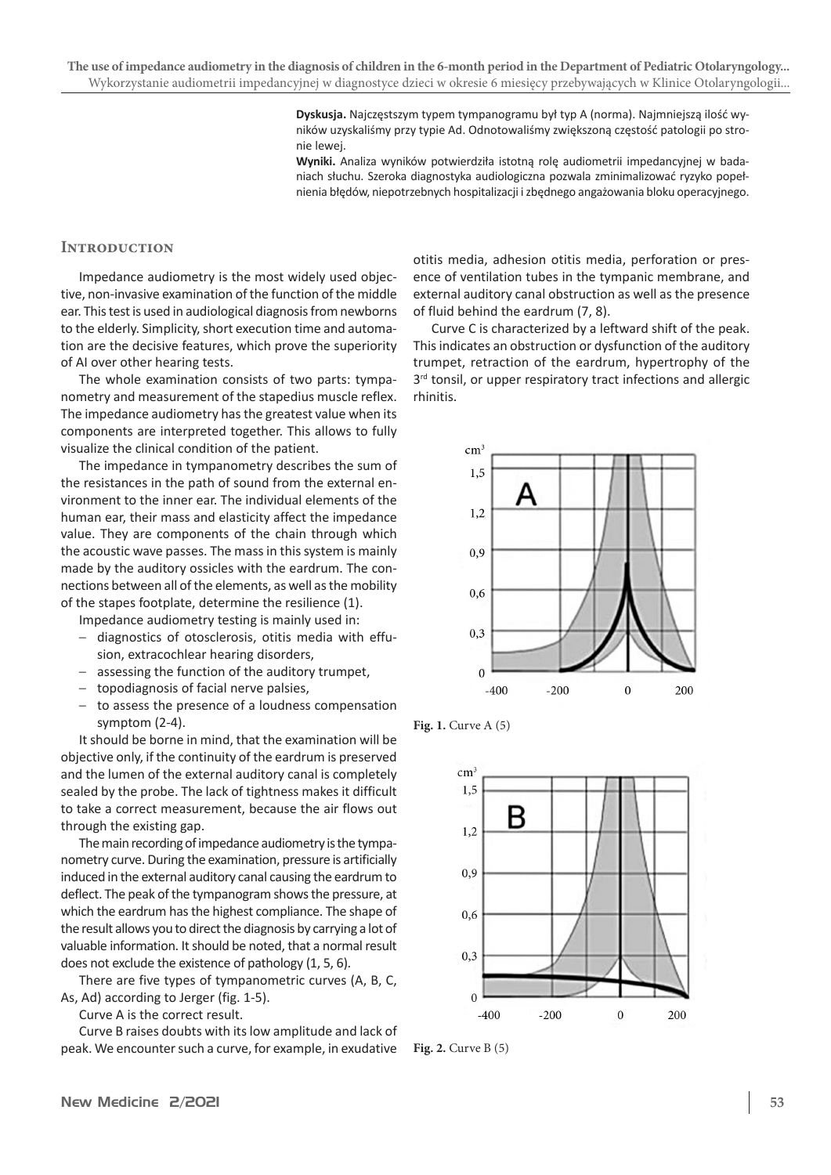**Dyskusja.** Najczęstszym typem tympanogramu był typ A (norma). Najmniejszą ilość wyników uzyskaliśmy przy typie Ad. Odnotowaliśmy zwiększoną częstość patologii po stronie lewej.

**Wyniki.** Analiza wyników potwierdziła istotną rolę audiometrii impedancyjnej w badaniach słuchu. Szeroka diagnostyka audiologiczna pozwala zminimalizować ryzyko popełnienia błędów, niepotrzebnych hospitalizacji i zbędnego angażowania bloku operacyjnego.

## **Introduction**

Impedance audiometry is the most widely used objective, non-invasive examination of the function of the middle ear. This test is used in audiological diagnosis from newborns to the elderly. Simplicity, short execution time and automation are the decisive features, which prove the superiority of AI over other hearing tests.

The whole examination consists of two parts: tympanometry and measurement of the stapedius muscle reflex. The impedance audiometry has the greatest value when its components are interpreted together. This allows to fully visualize the clinical condition of the patient.

The impedance in tympanometry describes the sum of the resistances in the path of sound from the external environment to the inner ear. The individual elements of the human ear, their mass and elasticity affect the impedance value. They are components of the chain through which the acoustic wave passes. The mass in this system is mainly made by the auditory ossicles with the eardrum. The connections between all of the elements, as well as the mobility of the stapes footplate, determine the resilience (1).

Impedance audiometry testing is mainly used in:

- diagnostics of otosclerosis, otitis media with effusion, extracochlear hearing disorders,
- assessing the function of the auditory trumpet,
- topodiagnosis of facial nerve palsies,
- to assess the presence of a loudness compensation symptom (2-4).

It should be borne in mind, that the examination will be objective only, if the continuity of the eardrum is preserved and the lumen of the external auditory canal is completely sealed by the probe. The lack of tightness makes it difficult to take a correct measurement, because the air flows out through the existing gap.

The main recording of impedance audiometry is the tympanometry curve. During the examination, pressure is artificially induced in the external auditory canal causing the eardrum to deflect. The peak of the tympanogram shows the pressure, at which the eardrum has the highest compliance. The shape of the result allows you to direct the diagnosis by carrying a lot of valuable information. It should be noted, that a normal result does not exclude the existence of pathology (1, 5, 6).

There are five types of tympanometric curves (A, B, C, As, Ad) according to Jerger (fig. 1-5).

Curve A is the correct result.

Curve B raises doubts with its low amplitude and lack of peak. We encounter such a curve, for example, in exudative otitis media, adhesion otitis media, perforation or presence of ventilation tubes in the tympanic membrane, and external auditory canal obstruction as well as the presence of fluid behind the eardrum (7, 8).

Curve C is characterized by a leftward shift of the peak. This indicates an obstruction or dysfunction of the auditory trumpet, retraction of the eardrum, hypertrophy of the 3<sup>rd</sup> tonsil, or upper respiratory tract infections and allergic rhinitis.



**Fig. 1.** Curve A (5)



**Fig. 2.** Curve B (5)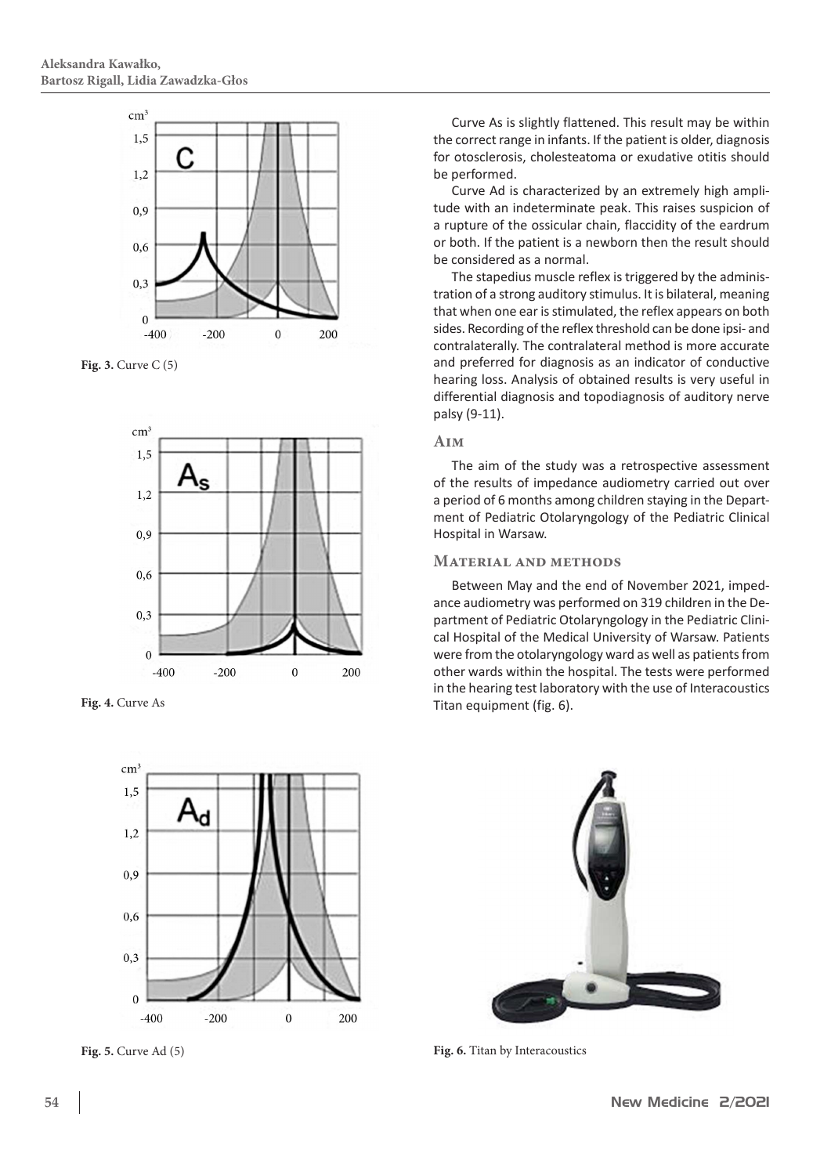

**Fig. 3.** Curve C (5)



**Fig. 4.** Curve As



Curve As is slightly flattened. This result may be within the correct range in infants. If the patient is older, diagnosis for otosclerosis, cholesteatoma or exudative otitis should be performed.

Curve Ad is characterized by an extremely high amplitude with an indeterminate peak. This raises suspicion of a rupture of the ossicular chain, flaccidity of the eardrum or both. If the patient is a newborn then the result should be considered as a normal.

The stapedius muscle reflex is triggered by the administration of a strong auditory stimulus. It is bilateral, meaning that when one ear is stimulated, the reflex appears on both sides. Recording of the reflex threshold can be done ipsi- and contralaterally. The contralateral method is more accurate and preferred for diagnosis as an indicator of conductive hearing loss. Analysis of obtained results is very useful in differential diagnosis and topodiagnosis of auditory nerve palsy (9-11).

## **Aim**

The aim of the study was a retrospective assessment of the results of impedance audiometry carried out over a period of 6 months among children staying in the Department of Pediatric Otolaryngology of the Pediatric Clinical Hospital in Warsaw.

#### **Material and methods**

Between May and the end of November 2021, impedance audiometry was performed on 319 children in the Department of Pediatric Otolaryngology in the Pediatric Clinical Hospital of the Medical University of Warsaw. Patients were from the otolaryngology ward as well as patients from other wards within the hospital. The tests were performed in the hearing test laboratory with the use of Interacoustics Titan equipment (fig. 6).



**Fig. 5.** Curve Ad (5) **Fig. 6.** Titan by Interacoustics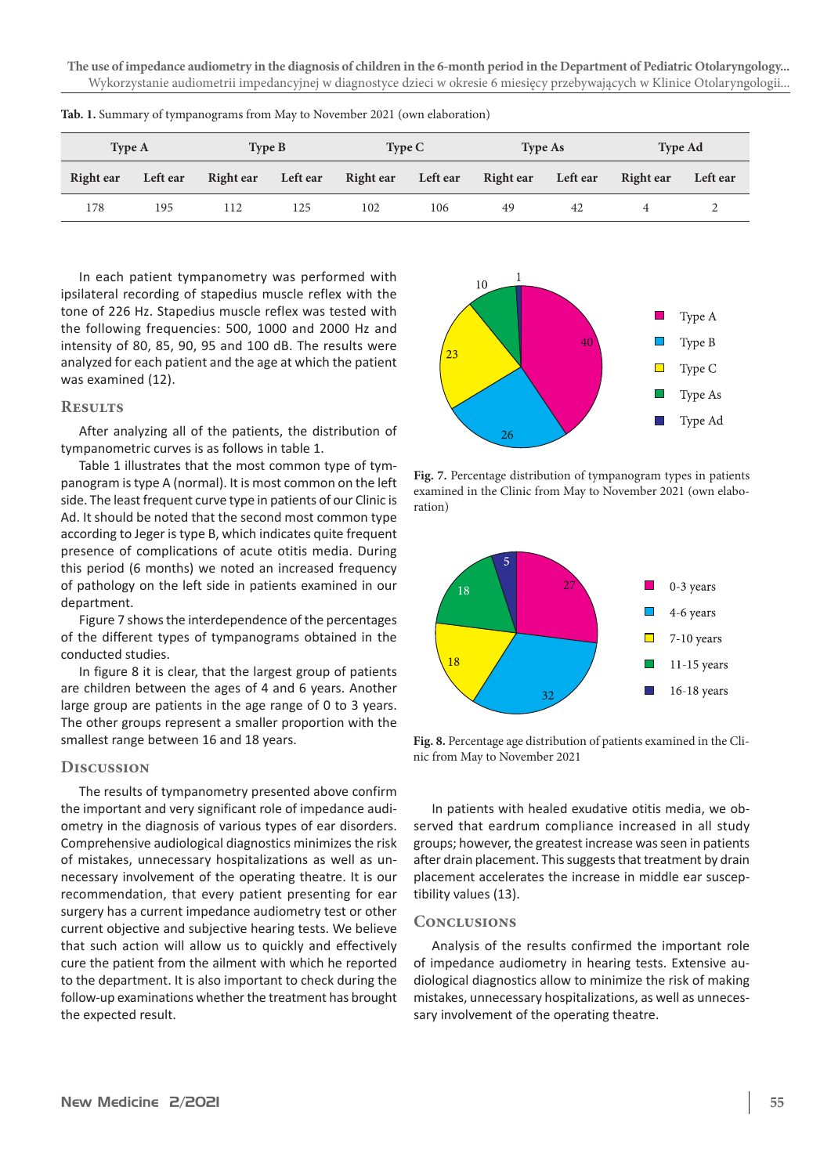**The use of impedance audiometry in the diagnosis of children in the 6-month period in the Department of Pediatric Otolaryngology...**  Wykorzystanie audiometrii impedancyjnej w diagnostyce dzieci w okresie 6 miesięcy przebywających w Klinice Otolaryngologii...

| <b>Type A</b> |                 | Type B             |     | Type C             |     | <b>Type As</b>     |    | <b>Type Ad</b> |          |
|---------------|-----------------|--------------------|-----|--------------------|-----|--------------------|----|----------------|----------|
| Right ear     | <b>Left ear</b> | Right ear Left ear |     | Right ear Left ear |     | Right ear Left ear |    | Right ear      | Left ear |
| 178           | 195             | 112                | 125 | 102                | 106 | 49                 | 42 |                |          |

**Tab. 1.** Summary of tympanograms from May to November 2021 (own elaboration)

In each patient tympanometry was performed with ipsilateral recording of stapedius muscle reflex with the tone of 226 Hz. Stapedius muscle reflex was tested with the following frequencies: 500, 1000 and 2000 Hz and intensity of 80, 85, 90, 95 and 100 dB. The results were analyzed for each patient and the age at which the patient was examined (12).

## **Results**

After analyzing all of the patients, the distribution of tympanometric curves is as follows in table 1.

Table 1 illustrates that the most common type of tympanogram is type A (normal). It is most common on the left side. The least frequent curve type in patients of our Clinic is Ad. It should be noted that the second most common type according to Jeger is type B, which indicates quite frequent presence of complications of acute otitis media. During this period (6 months) we noted an increased frequency of pathology on the left side in patients examined in our department.

Figure 7 shows the interdependence of the percentages of the different types of tympanograms obtained in the conducted studies.

In figure 8 it is clear, that the largest group of patients are children between the ages of 4 and 6 years. Another large group are patients in the age range of 0 to 3 years. The other groups represent a smaller proportion with the smallest range between 16 and 18 years.

#### **Discussion**

The results of tympanometry presented above confirm the important and very significant role of impedance audiometry in the diagnosis of various types of ear disorders. Comprehensive audiological diagnostics minimizes the risk of mistakes, unnecessary hospitalizations as well as unnecessary involvement of the operating theatre. It is our recommendation, that every patient presenting for ear surgery has a current impedance audiometry test or other current objective and subjective hearing tests. We believe that such action will allow us to quickly and effectively cure the patient from the ailment with which he reported to the department. It is also important to check during the follow-up examinations whether the treatment has brought the expected result.



**Fig. 7.** Percentage distribution of tympanogram types in patients examined in the Clinic from May to November 2021 (own elaboration)



**Fig. 8.** Percentage age distribution of patients examined in the Clinic from May to November 2021

In patients with healed exudative otitis media, we observed that eardrum compliance increased in all study groups; however, the greatest increase was seen in patients after drain placement. This suggests that treatment by drain placement accelerates the increase in middle ear susceptibility values (13).

#### **Conclusions**

Analysis of the results confirmed the important role of impedance audiometry in hearing tests. Extensive audiological diagnostics allow to minimize the risk of making mistakes, unnecessary hospitalizations, as well as unnecessary involvement of the operating theatre.